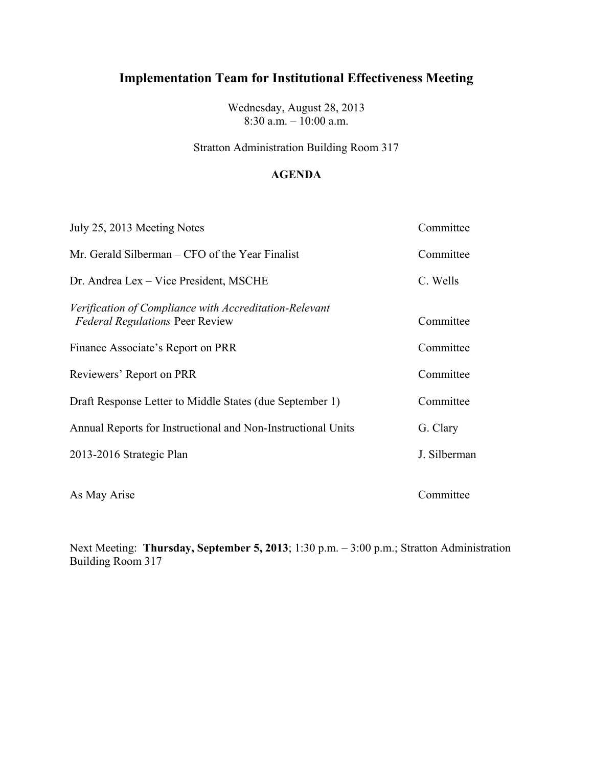Wednesday, August 28, 2013 8:30 a.m. – 10:00 a.m.

Stratton Administration Building Room 317

### **AGENDA**

| July 25, 2013 Meeting Notes                                                                      | Committee    |
|--------------------------------------------------------------------------------------------------|--------------|
| Mr. Gerald Silberman – CFO of the Year Finalist                                                  | Committee    |
| Dr. Andrea Lex – Vice President, MSCHE                                                           | C. Wells     |
| Verification of Compliance with Accreditation-Relevant<br><b>Federal Regulations Peer Review</b> | Committee    |
| Finance Associate's Report on PRR                                                                | Committee    |
| Reviewers' Report on PRR                                                                         | Committee    |
| Draft Response Letter to Middle States (due September 1)                                         | Committee    |
| Annual Reports for Instructional and Non-Instructional Units                                     | G. Clary     |
| 2013-2016 Strategic Plan                                                                         | J. Silberman |
| As May Arise                                                                                     | Committee    |

Next Meeting: **Thursday, September 5, 2013**; 1:30 p.m. – 3:00 p.m.; Stratton Administration Building Room 317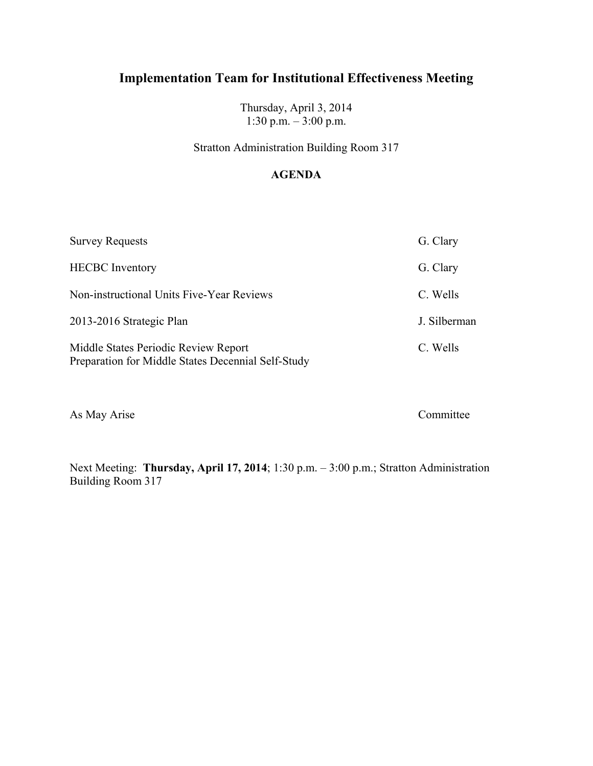Thursday, April 3, 2014 1:30 p.m. – 3:00 p.m.

Stratton Administration Building Room 317

### **AGENDA**

| <b>Survey Requests</b>                                                                     | G. Clary     |
|--------------------------------------------------------------------------------------------|--------------|
| <b>HECBC</b> Inventory                                                                     | G. Clary     |
| Non-instructional Units Five-Year Reviews                                                  | C. Wells     |
| 2013-2016 Strategic Plan                                                                   | J. Silberman |
| Middle States Periodic Review Report<br>Preparation for Middle States Decennial Self-Study | C. Wells     |

As May Arise Committee

Next Meeting: **Thursday, April 17, 2014**; 1:30 p.m. – 3:00 p.m.; Stratton Administration Building Room 317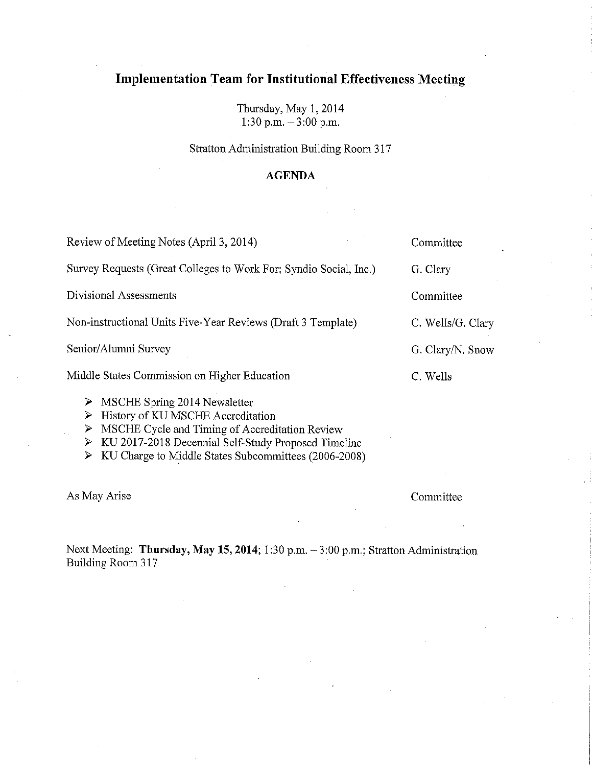Thursday, May 1, 2014 1:30 p.m.  $-3:00$  p.m.

Stratton Administration Building Room 317

#### **AGENDA**

| Review of Meeting Notes (April 3, 2014)                                                         | Committee       |
|-------------------------------------------------------------------------------------------------|-----------------|
| Survey Requests (Great Colleges to Work For; Syndio Social, Inc.)                               | G. Clary        |
| Divisional Assessments                                                                          | Committee       |
| Non-instructional Units Five-Year Reviews (Draft 3 Template)                                    | C. Wells/G. Cla |
| Senior/Alumni Survey                                                                            | G. Clary/N. Sno |
| Middle States Commission on Higher Education                                                    | C. Wells        |
| MSCHE Spring 2014 Newsletter<br>➤<br>History of KU MSCHE Accreditation<br>$\blacktriangleright$ |                 |

- $\triangleright$  MSCHE Cycle and Timing of Accreditation Review
- > KU 2017-2018 Decennial Self-Study Proposed Timeline
- > KU Charge to Middle States Subcommittees (2006-2008)

As May Arise

Committee

Next Meeting: Thursday, May 15, 2014; 1:30 p.m. - 3:00 p.m.; Stratton Administration Building Room 317

| Committee         |
|-------------------|
| G. Clary          |
| Committee         |
| C. Wells/G. Clary |
| G. Clary/N. Snow  |
| C. Wells          |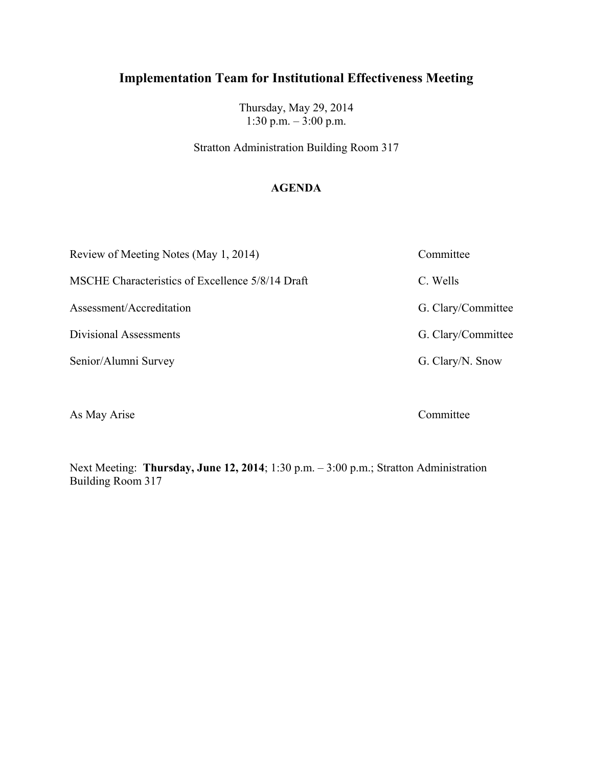Thursday, May 29, 2014 1:30 p.m. – 3:00 p.m.

Stratton Administration Building Room 317

### **AGENDA**

| Review of Meeting Notes (May 1, 2014)            | Committee          |
|--------------------------------------------------|--------------------|
| MSCHE Characteristics of Excellence 5/8/14 Draft | C. Wells           |
| Assessment/Accreditation                         | G. Clary/Committee |
| Divisional Assessments                           | G. Clary/Committee |
| Senior/Alumni Survey                             | G. Clary/N. Snow   |
|                                                  |                    |

As May Arise Committee

Next Meeting: **Thursday, June 12, 2014**; 1:30 p.m. – 3:00 p.m.; Stratton Administration Building Room 317